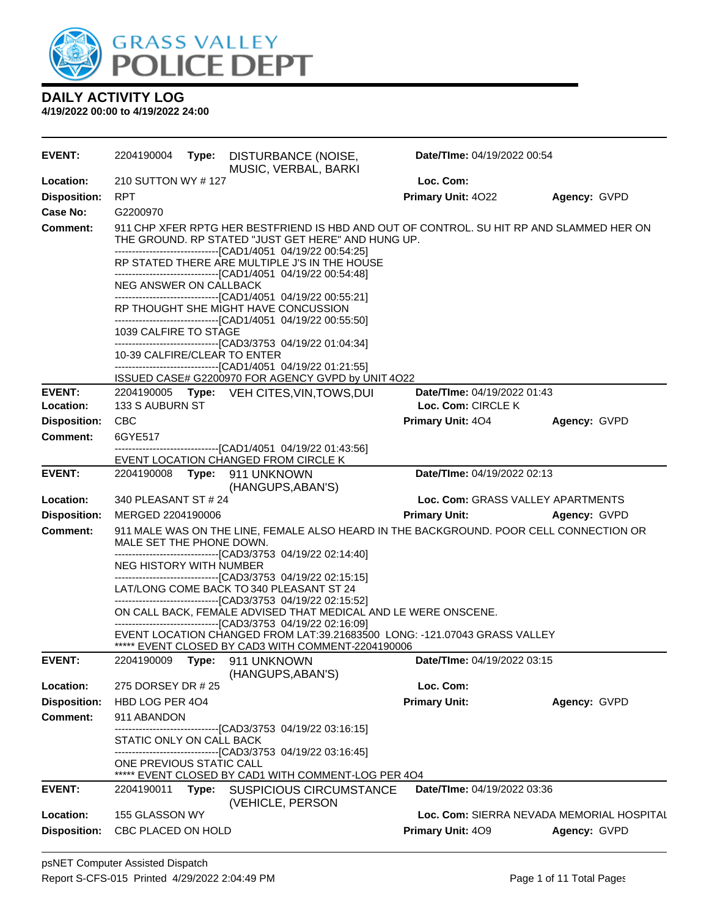

| <b>EVENT:</b>                          | 2204190004                                                                                                                     |       | Type: DISTURBANCE (NOISE,<br>MUSIC, VERBAL, BARKI                                                                                                                                                              | Date/TIme: 04/19/2022 00:54                              |                                           |  |  |
|----------------------------------------|--------------------------------------------------------------------------------------------------------------------------------|-------|----------------------------------------------------------------------------------------------------------------------------------------------------------------------------------------------------------------|----------------------------------------------------------|-------------------------------------------|--|--|
| Location:                              | 210 SUTTON WY #127                                                                                                             |       |                                                                                                                                                                                                                | Loc. Com:                                                |                                           |  |  |
| <b>Disposition:</b>                    | <b>RPT</b>                                                                                                                     |       |                                                                                                                                                                                                                | Primary Unit: 4022                                       | Agency: GVPD                              |  |  |
| Case No:                               | G2200970                                                                                                                       |       |                                                                                                                                                                                                                |                                                          |                                           |  |  |
| Comment:                               |                                                                                                                                |       | 911 CHP XFER RPTG HER BESTFRIEND IS HBD AND OUT OF CONTROL. SU HIT RP AND SLAMMED HER ON<br>THE GROUND. RP STATED "JUST GET HERE" AND HUNG UP.<br>-------------------------------[CAD1/4051_04/19/22 00:54:25] |                                                          |                                           |  |  |
|                                        |                                                                                                                                |       | RP STATED THERE ARE MULTIPLE J'S IN THE HOUSE                                                                                                                                                                  |                                                          |                                           |  |  |
|                                        | NEG ANSWER ON CALLBACK                                                                                                         |       | -------------------------------[CAD1/4051 04/19/22 00:54:48]<br>-------------------------------[CAD1/4051 04/19/22 00:55:21]                                                                                   |                                                          |                                           |  |  |
|                                        |                                                                                                                                |       | RP THOUGHT SHE MIGHT HAVE CONCUSSION<br>-------------------------------[CAD1/4051_04/19/22 00:55:50]                                                                                                           |                                                          |                                           |  |  |
|                                        | 1039 CALFIRE TO STAGE                                                                                                          |       | -------------------------------[CAD3/3753_04/19/22_01:04:34]                                                                                                                                                   |                                                          |                                           |  |  |
|                                        | 10-39 CALFIRE/CLEAR TO ENTER                                                                                                   |       | -------------------------------[CAD1/4051_04/19/22 01:21:55]                                                                                                                                                   |                                                          |                                           |  |  |
|                                        |                                                                                                                                |       | ISSUED CASE# G2200970 FOR AGENCY GVPD by UNIT 4O22                                                                                                                                                             |                                                          |                                           |  |  |
| <b>EVENT:</b><br>Location:             | 133 S AUBURN ST                                                                                                                |       | 2204190005 Type: VEH CITES, VIN, TOWS, DUI                                                                                                                                                                     | <b>Date/Time: 04/19/2022 01:43</b><br>Loc. Com: CIRCLE K |                                           |  |  |
|                                        | <b>CBC</b>                                                                                                                     |       |                                                                                                                                                                                                                |                                                          | Agency: GVPD                              |  |  |
| <b>Disposition:</b><br><b>Comment:</b> | 6GYE517                                                                                                                        |       |                                                                                                                                                                                                                | <b>Primary Unit: 404</b>                                 |                                           |  |  |
|                                        |                                                                                                                                |       | -------------------------------[CAD1/4051_04/19/22 01:43:56]                                                                                                                                                   |                                                          |                                           |  |  |
|                                        |                                                                                                                                |       | EVENT LOCATION CHANGED FROM CIRCLE K                                                                                                                                                                           |                                                          |                                           |  |  |
| <b>EVENT:</b>                          | Date/TIme: 04/19/2022 02:13<br>2204190008 Type: 911 UNKNOWN<br>(HANGUPS, ABAN'S)                                               |       |                                                                                                                                                                                                                |                                                          |                                           |  |  |
| <b>Location:</b>                       | 340 PLEASANT ST # 24                                                                                                           |       |                                                                                                                                                                                                                | Loc. Com: GRASS VALLEY APARTMENTS                        |                                           |  |  |
| <b>Disposition:</b>                    | MERGED 2204190006                                                                                                              |       |                                                                                                                                                                                                                | <b>Primary Unit:</b>                                     | Agency: GVPD                              |  |  |
| Comment:                               | MALE SET THE PHONE DOWN.                                                                                                       |       | 911 MALE WAS ON THE LINE, FEMALE ALSO HEARD IN THE BACKGROUND. POOR CELL CONNECTION OR                                                                                                                         |                                                          |                                           |  |  |
|                                        | NEG HISTORY WITH NUMBER                                                                                                        |       | -------------------------------[CAD3/3753_04/19/22_02:14:40]                                                                                                                                                   |                                                          |                                           |  |  |
|                                        |                                                                                                                                |       | -------------------------------[CAD3/3753_04/19/22_02:15:15]<br>LAT/LONG COME BACK TO 340 PLEASANT ST 24                                                                                                       |                                                          |                                           |  |  |
|                                        | -------------------------------[CAD3/3753_04/19/22_02:15:52]<br>ON CALL BACK, FEMALE ADVISED THAT MEDICAL AND LE WERE ONSCENE. |       |                                                                                                                                                                                                                |                                                          |                                           |  |  |
|                                        | -------------------------------[CAD3/3753 04/19/22 02:16:09]                                                                   |       |                                                                                                                                                                                                                |                                                          |                                           |  |  |
|                                        |                                                                                                                                |       | EVENT LOCATION CHANGED FROM LAT:39.21683500 LONG: -121.07043 GRASS VALLEY<br>***** EVENT CLOSED BY CAD3 WITH COMMENT-2204190006                                                                                |                                                          |                                           |  |  |
| <b>EVENT:</b>                          |                                                                                                                                |       | 2204190009 Type: 911 UNKNOWN<br>(HANGUPS, ABAN'S)                                                                                                                                                              | Date/TIme: 04/19/2022 03:15                              |                                           |  |  |
| Location:                              | 275 DORSEY DR # 25                                                                                                             |       |                                                                                                                                                                                                                | Loc. Com:                                                |                                           |  |  |
| <b>Disposition:</b>                    | HBD LOG PER 404                                                                                                                |       |                                                                                                                                                                                                                | <b>Primary Unit:</b>                                     | Agency: GVPD                              |  |  |
| <b>Comment:</b>                        | 911 ABANDON                                                                                                                    |       |                                                                                                                                                                                                                |                                                          |                                           |  |  |
|                                        | STATIC ONLY ON CALL BACK                                                                                                       |       | -------------------------------[CAD3/3753 04/19/22 03:16:15]<br>-------------------------------[CAD3/3753_04/19/22_03:16:45]                                                                                   |                                                          |                                           |  |  |
|                                        | ONE PREVIOUS STATIC CALL                                                                                                       |       | ***** EVENT CLOSED BY CAD1 WITH COMMENT-LOG PER 404                                                                                                                                                            |                                                          |                                           |  |  |
| <b>EVENT:</b>                          | 2204190011                                                                                                                     | Type: | <b>SUSPICIOUS CIRCUMSTANCE</b><br>(VEHICLE, PERSON                                                                                                                                                             | Date/TIme: 04/19/2022 03:36                              |                                           |  |  |
| Location:                              | 155 GLASSON WY                                                                                                                 |       |                                                                                                                                                                                                                |                                                          | Loc. Com: SIERRA NEVADA MEMORIAL HOSPITAL |  |  |
| <b>Disposition:</b>                    | CBC PLACED ON HOLD                                                                                                             |       |                                                                                                                                                                                                                | Primary Unit: 409                                        | Agency: GVPD                              |  |  |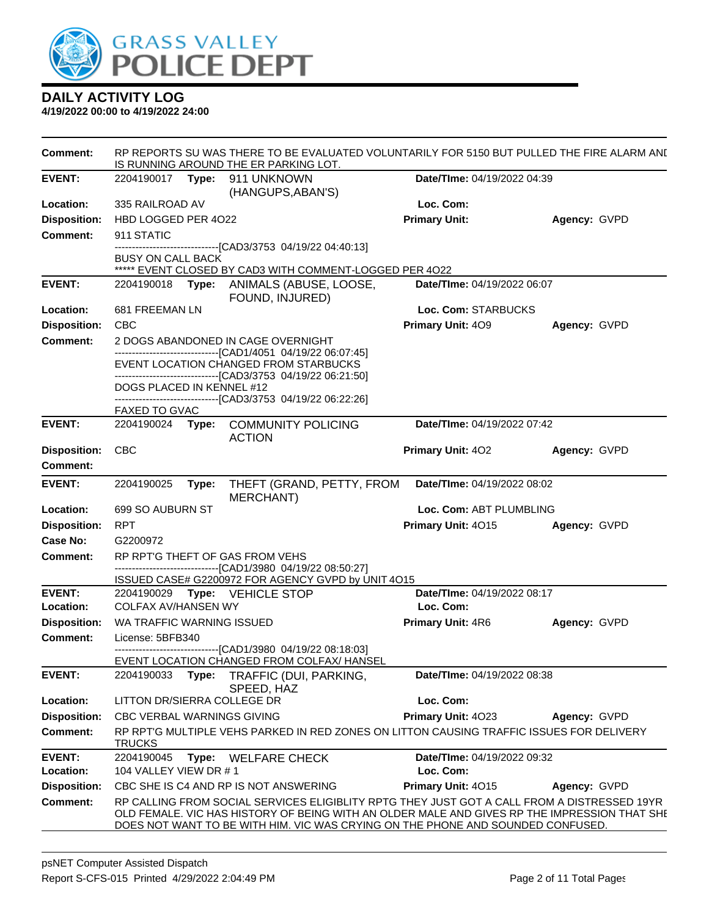

| <b>Comment:</b>     |                                                                                                    | RP REPORTS SU WAS THERE TO BE EVALUATED VOLUNTARILY FOR 5150 BUT PULLED THE FIRE ALARM ANI<br>IS RUNNING AROUND THE ER PARKING LOT. |                                                                                                                                                                                                                                                                                |                                    |              |  |
|---------------------|----------------------------------------------------------------------------------------------------|-------------------------------------------------------------------------------------------------------------------------------------|--------------------------------------------------------------------------------------------------------------------------------------------------------------------------------------------------------------------------------------------------------------------------------|------------------------------------|--------------|--|
| <b>EVENT:</b>       |                                                                                                    |                                                                                                                                     | 2204190017    Type: 911    UNKNOWN<br>(HANGUPS, ABAN'S)                                                                                                                                                                                                                        | Date/TIme: 04/19/2022 04:39        |              |  |
| Location:           | 335 RAILROAD AV                                                                                    |                                                                                                                                     |                                                                                                                                                                                                                                                                                | Loc. Com:                          |              |  |
| <b>Disposition:</b> | HBD LOGGED PER 4022                                                                                |                                                                                                                                     |                                                                                                                                                                                                                                                                                | <b>Primary Unit:</b>               | Agency: GVPD |  |
| <b>Comment:</b>     | 911 STATIC                                                                                         |                                                                                                                                     |                                                                                                                                                                                                                                                                                |                                    |              |  |
|                     | <b>BUSY ON CALL BACK</b>                                                                           |                                                                                                                                     | ------------------[CAD3/3753_04/19/22_04:40:13]                                                                                                                                                                                                                                |                                    |              |  |
|                     |                                                                                                    |                                                                                                                                     | ***** EVENT CLOSED BY CAD3 WITH COMMENT-LOGGED PER 4O22                                                                                                                                                                                                                        |                                    |              |  |
| <b>EVENT:</b>       |                                                                                                    |                                                                                                                                     | 2204190018 Type: ANIMALS (ABUSE, LOOSE,<br>FOUND, INJURED)                                                                                                                                                                                                                     | <b>Date/TIme: 04/19/2022 06:07</b> |              |  |
| Location:           | 681 FREEMAN LN                                                                                     |                                                                                                                                     |                                                                                                                                                                                                                                                                                | Loc. Com: STARBUCKS                |              |  |
| <b>Disposition:</b> | <b>CBC</b>                                                                                         |                                                                                                                                     |                                                                                                                                                                                                                                                                                | Primary Unit: 409                  | Agency: GVPD |  |
| <b>Comment:</b>     | 2 DOGS ABANDONED IN CAGE OVERNIGHT<br>-------------------------------[CAD1/4051 04/19/22 06:07:45] |                                                                                                                                     |                                                                                                                                                                                                                                                                                |                                    |              |  |
|                     | EVENT LOCATION CHANGED FROM STARBUCKS                                                              |                                                                                                                                     |                                                                                                                                                                                                                                                                                |                                    |              |  |
|                     |                                                                                                    |                                                                                                                                     | --------------------------------[CAD3/3753 04/19/22 06:21:50]                                                                                                                                                                                                                  |                                    |              |  |
|                     | DOGS PLACED IN KENNEL #12                                                                          |                                                                                                                                     | -------------------------------[CAD3/3753_04/19/22_06:22:26]                                                                                                                                                                                                                   |                                    |              |  |
|                     | FAXED TO GVAC                                                                                      |                                                                                                                                     |                                                                                                                                                                                                                                                                                |                                    |              |  |
| <b>EVENT:</b>       | 2204190024                                                                                         | Type:                                                                                                                               | <b>COMMUNITY POLICING</b><br><b>ACTION</b>                                                                                                                                                                                                                                     | Date/TIme: 04/19/2022 07:42        |              |  |
| <b>Disposition:</b> | <b>CBC</b>                                                                                         |                                                                                                                                     |                                                                                                                                                                                                                                                                                | Primary Unit: 402                  | Agency: GVPD |  |
| <b>Comment:</b>     |                                                                                                    |                                                                                                                                     |                                                                                                                                                                                                                                                                                |                                    |              |  |
| <b>EVENT:</b>       | 2204190025                                                                                         | Type:                                                                                                                               | THEFT (GRAND, PETTY, FROM<br><b>MERCHANT)</b>                                                                                                                                                                                                                                  | Date/TIme: 04/19/2022 08:02        |              |  |
| Location:           | 699 SO AUBURN ST                                                                                   |                                                                                                                                     |                                                                                                                                                                                                                                                                                | Loc. Com: ABT PLUMBLING            |              |  |
| <b>Disposition:</b> | <b>RPT</b>                                                                                         |                                                                                                                                     |                                                                                                                                                                                                                                                                                | Primary Unit: 4015                 | Agency: GVPD |  |
| Case No:            | G2200972                                                                                           |                                                                                                                                     |                                                                                                                                                                                                                                                                                |                                    |              |  |
| Comment:            |                                                                                                    |                                                                                                                                     | RP RPT'G THEFT OF GAS FROM VEHS                                                                                                                                                                                                                                                |                                    |              |  |
|                     |                                                                                                    |                                                                                                                                     | -------------------------------[CAD1/3980 04/19/22 08:50:27]<br>ISSUED CASE# G2200972 FOR AGENCY GVPD by UNIT 4O15                                                                                                                                                             |                                    |              |  |
| <b>EVENT:</b>       |                                                                                                    |                                                                                                                                     | 2204190029 Type: VEHICLE STOP                                                                                                                                                                                                                                                  | Date/TIme: 04/19/2022 08:17        |              |  |
| Location:           | <b>COLFAX AV/HANSEN WY</b>                                                                         |                                                                                                                                     |                                                                                                                                                                                                                                                                                | Loc. Com:                          |              |  |
| <b>Disposition:</b> | WA TRAFFIC WARNING ISSUED                                                                          |                                                                                                                                     |                                                                                                                                                                                                                                                                                | Primary Unit: 4R6                  | Agency: GVPD |  |
| Comment:            | License: 5BFB340                                                                                   |                                                                                                                                     |                                                                                                                                                                                                                                                                                |                                    |              |  |
|                     |                                                                                                    |                                                                                                                                     | -------------------------------[CAD1/3980_04/19/22_08:18:03]<br>EVENT LOCATION CHANGED FROM COLFAX/ HANSEL                                                                                                                                                                     |                                    |              |  |
| <b>EVENT:</b>       | 2204190033                                                                                         | Type:                                                                                                                               | TRAFFIC (DUI, PARKING,<br>SPEED, HAZ                                                                                                                                                                                                                                           | Date/TIme: 04/19/2022 08:38        |              |  |
| Location:           | LITTON DR/SIERRA COLLEGE DR                                                                        |                                                                                                                                     |                                                                                                                                                                                                                                                                                | Loc. Com:                          |              |  |
| <b>Disposition:</b> | <b>CBC VERBAL WARNINGS GIVING</b>                                                                  |                                                                                                                                     |                                                                                                                                                                                                                                                                                | Primary Unit: 4023                 | Agency: GVPD |  |
| <b>Comment:</b>     | <b>TRUCKS</b>                                                                                      |                                                                                                                                     | RP RPT'G MULTIPLE VEHS PARKED IN RED ZONES ON LITTON CAUSING TRAFFIC ISSUES FOR DELIVERY                                                                                                                                                                                       |                                    |              |  |
| <b>EVENT:</b>       | 2204190045                                                                                         | Type:                                                                                                                               | <b>WELFARE CHECK</b>                                                                                                                                                                                                                                                           | Date/TIme: 04/19/2022 09:32        |              |  |
| Location:           | 104 VALLEY VIEW DR #1                                                                              |                                                                                                                                     |                                                                                                                                                                                                                                                                                | Loc. Com:                          |              |  |
| <b>Disposition:</b> |                                                                                                    |                                                                                                                                     | CBC SHE IS C4 AND RP IS NOT ANSWERING                                                                                                                                                                                                                                          | Primary Unit: 4015                 | Agency: GVPD |  |
| <b>Comment:</b>     |                                                                                                    |                                                                                                                                     | RP CALLING FROM SOCIAL SERVICES ELIGIBLITY RPTG THEY JUST GOT A CALL FROM A DISTRESSED 19YR<br>OLD FEMALE. VIC HAS HISTORY OF BEING WITH AN OLDER MALE AND GIVES RP THE IMPRESSION THAT SHE<br>DOES NOT WANT TO BE WITH HIM. VIC WAS CRYING ON THE PHONE AND SOUNDED CONFUSED. |                                    |              |  |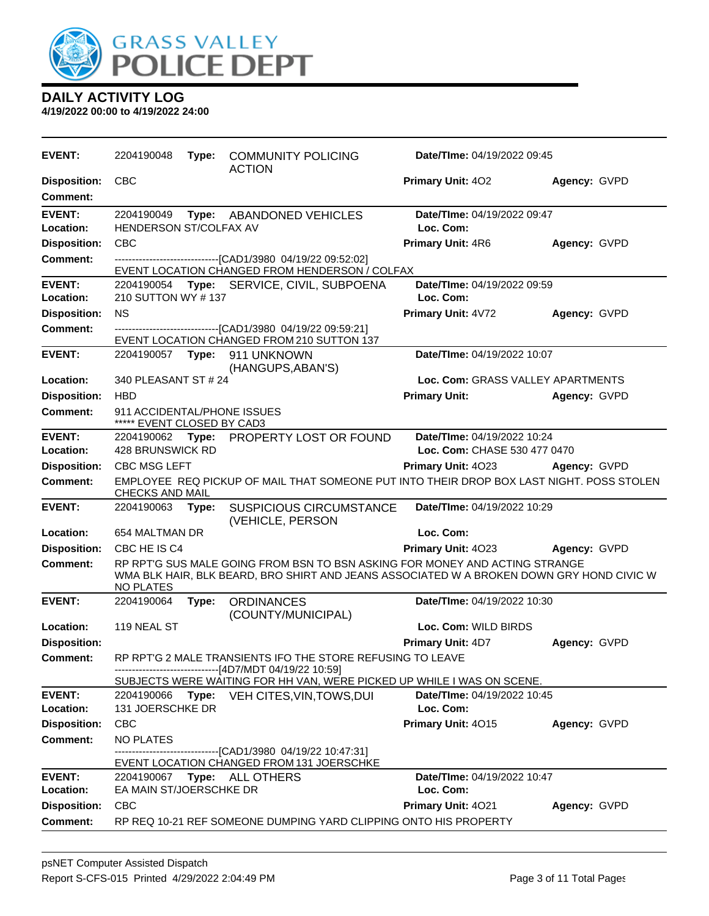

| <b>EVENT:</b>                   | 2204190048                                                | Type: | <b>COMMUNITY POLICING</b><br><b>ACTION</b>                                                                                                                              | <b>Date/Time: 04/19/2022 09:45</b>       |              |
|---------------------------------|-----------------------------------------------------------|-------|-------------------------------------------------------------------------------------------------------------------------------------------------------------------------|------------------------------------------|--------------|
| <b>Disposition:</b><br>Comment: | <b>CBC</b>                                                |       |                                                                                                                                                                         | <b>Primary Unit: 402</b>                 | Agency: GVPD |
| <b>EVENT:</b><br>Location:      | 2204190049<br>HENDERSON ST/COLFAX AV                      |       | Type: ABANDONED VEHICLES                                                                                                                                                | Date/TIme: 04/19/2022 09:47<br>Loc. Com: |              |
| <b>Disposition:</b>             | <b>CBC</b>                                                |       |                                                                                                                                                                         | Primary Unit: 4R6                        | Agency: GVPD |
| Comment:                        |                                                           |       | -------------------------------[CAD1/3980_04/19/22_09:52:02]                                                                                                            |                                          |              |
|                                 |                                                           |       | EVENT LOCATION CHANGED FROM HENDERSON / COLFAX                                                                                                                          |                                          |              |
| <b>EVENT:</b><br>Location:      | 210 SUTTON WY #137                                        |       | 2204190054 Type: SERVICE, CIVIL, SUBPOENA                                                                                                                               | Date/TIme: 04/19/2022 09:59<br>Loc. Com: |              |
| <b>Disposition:</b>             | <b>NS</b>                                                 |       |                                                                                                                                                                         | Primary Unit: 4V72                       | Agency: GVPD |
| <b>Comment:</b>                 |                                                           |       | -------------------------------[CAD1/3980_04/19/22_09:59:21]                                                                                                            |                                          |              |
|                                 |                                                           |       | EVENT LOCATION CHANGED FROM 210 SUTTON 137                                                                                                                              |                                          |              |
| <b>EVENT:</b>                   |                                                           |       | 2204190057 Type: 911 UNKNOWN<br>(HANGUPS, ABAN'S)                                                                                                                       | Date/TIme: 04/19/2022 10:07              |              |
| Location:                       | 340 PLEASANT ST # 24                                      |       |                                                                                                                                                                         | Loc. Com: GRASS VALLEY APARTMENTS        |              |
| <b>Disposition:</b>             | <b>HBD</b>                                                |       |                                                                                                                                                                         | <b>Primary Unit:</b>                     | Agency: GVPD |
| Comment:                        | 911 ACCIDENTAL/PHONE ISSUES<br>***** EVENT CLOSED BY CAD3 |       |                                                                                                                                                                         |                                          |              |
| <b>EVENT:</b>                   |                                                           |       | 2204190062 Type: PROPERTY LOST OR FOUND                                                                                                                                 | Date/TIme: 04/19/2022 10:24              |              |
| Location:                       | 428 BRUNSWICK RD                                          |       |                                                                                                                                                                         | Loc. Com: CHASE 530 477 0470             |              |
| <b>Disposition:</b>             | <b>CBC MSG LEFT</b>                                       |       |                                                                                                                                                                         | <b>Primary Unit: 4023</b>                | Agency: GVPD |
| <b>Comment:</b>                 | <b>CHECKS AND MAIL</b>                                    |       | EMPLOYEE REQ PICKUP OF MAIL THAT SOMEONE PUT INTO THEIR DROP BOX LAST NIGHT. POSS STOLEN                                                                                |                                          |              |
| <b>EVENT:</b>                   | 2204190063                                                | Type: | <b>SUSPICIOUS CIRCUMSTANCE</b><br>(VEHICLE, PERSON                                                                                                                      | Date/TIme: 04/19/2022 10:29              |              |
| Location:                       | 654 MALTMAN DR                                            |       |                                                                                                                                                                         | Loc. Com:                                |              |
| <b>Disposition:</b>             | CBC HE IS C4                                              |       |                                                                                                                                                                         | Primary Unit: 4023                       | Agency: GVPD |
| <b>Comment:</b>                 | NO PLATES                                                 |       | RP RPT'G SUS MALE GOING FROM BSN TO BSN ASKING FOR MONEY AND ACTING STRANGE<br>WMA BLK HAIR, BLK BEARD, BRO SHIRT AND JEANS ASSOCIATED W A BROKEN DOWN GRY HOND CIVIC W |                                          |              |
| <b>EVENT:</b>                   | 2204190064                                                | Type: | <b>ORDINANCES</b><br>(COUNTY/MUNICIPAL)                                                                                                                                 | Date/TIme: 04/19/2022 10:30              |              |
| Location:                       | 119 NEAL ST                                               |       |                                                                                                                                                                         | Loc. Com: WILD BIRDS                     |              |
| <b>Disposition:</b>             |                                                           |       |                                                                                                                                                                         | <b>Primary Unit: 4D7</b>                 | Agency: GVPD |
| <b>Comment:</b>                 |                                                           |       | RP RPT'G 2 MALE TRANSIENTS IFO THE STORE REFUSING TO LEAVE<br>------------------------------[4D7/MDT 04/19/22 10:59]                                                    |                                          |              |
| <b>EVENT:</b>                   | 2204190066                                                |       | SUBJECTS WERE WAITING FOR HH VAN, WERE PICKED UP WHILE I WAS ON SCENE.                                                                                                  | Date/TIme: 04/19/2022 10:45              |              |
| Location:                       | 131 JOERSCHKE DR                                          |       | <b>Type:</b> VEH CITES, VIN, TOWS, DUI                                                                                                                                  | Loc. Com:                                |              |
| <b>Disposition:</b>             | <b>CBC</b>                                                |       |                                                                                                                                                                         | Primary Unit: 4015                       | Agency: GVPD |
| Comment:                        | <b>NO PLATES</b>                                          |       |                                                                                                                                                                         |                                          |              |
|                                 |                                                           |       | -------------------------------[CAD1/3980_04/19/22_10:47:31]<br>EVENT LOCATION CHANGED FROM 131 JOERSCHKE                                                               |                                          |              |
| <b>EVENT:</b><br>Location:      | EA MAIN ST/JOERSCHKE DR                                   |       | 2204190067    Type: ALL OTHERS                                                                                                                                          | Date/TIme: 04/19/2022 10:47<br>Loc. Com: |              |
| <b>Disposition:</b>             | <b>CBC</b>                                                |       |                                                                                                                                                                         | Primary Unit: 4021                       | Agency: GVPD |
| <b>Comment:</b>                 |                                                           |       | RP REQ 10-21 REF SOMEONE DUMPING YARD CLIPPING ONTO HIS PROPERTY                                                                                                        |                                          |              |
|                                 |                                                           |       |                                                                                                                                                                         |                                          |              |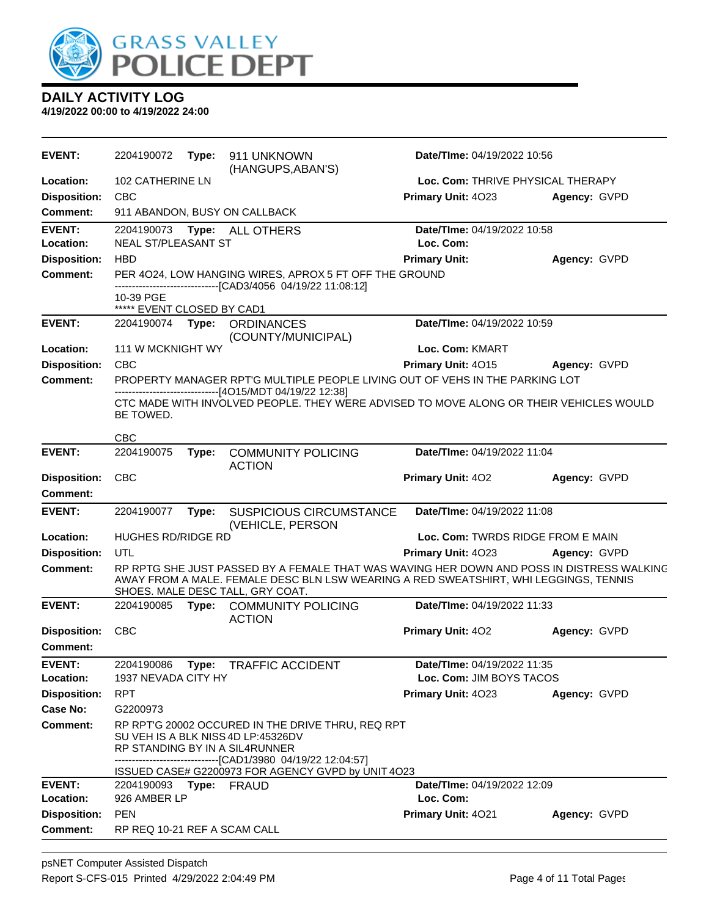

| <b>EVENT:</b>              | 2204190072                                                                                                                                                                               | Type: | 911 UNKNOWN<br>(HANGUPS, ABAN'S)                                                                                                                                                                                      | Date/TIme: 04/19/2022 10:56              |              |
|----------------------------|------------------------------------------------------------------------------------------------------------------------------------------------------------------------------------------|-------|-----------------------------------------------------------------------------------------------------------------------------------------------------------------------------------------------------------------------|------------------------------------------|--------------|
| Location:                  | 102 CATHERINE LN                                                                                                                                                                         |       |                                                                                                                                                                                                                       | Loc. Com: THRIVE PHYSICAL THERAPY        |              |
| <b>Disposition:</b>        | <b>CBC</b>                                                                                                                                                                               |       |                                                                                                                                                                                                                       | Primary Unit: 4023                       | Agency: GVPD |
| <b>Comment:</b>            |                                                                                                                                                                                          |       | 911 ABANDON, BUSY ON CALLBACK                                                                                                                                                                                         |                                          |              |
| <b>EVENT:</b><br>Location: | 2204190073 Type:<br>NEAL ST/PLEASANT ST                                                                                                                                                  |       | <b>ALL OTHERS</b>                                                                                                                                                                                                     | Date/TIme: 04/19/2022 10:58<br>Loc. Com: |              |
| <b>Disposition:</b>        | <b>HBD</b>                                                                                                                                                                               |       |                                                                                                                                                                                                                       | <b>Primary Unit:</b>                     | Agency: GVPD |
| <b>Comment:</b>            |                                                                                                                                                                                          |       | PER 4024, LOW HANGING WIRES, APROX 5 FT OFF THE GROUND                                                                                                                                                                |                                          |              |
|                            | 10-39 PGE<br>***** EVENT CLOSED BY CAD1                                                                                                                                                  |       | --------------------------[CAD3/4056 04/19/22 11:08:12]                                                                                                                                                               |                                          |              |
| <b>EVENT:</b>              | 2204190074                                                                                                                                                                               | Type: | <b>ORDINANCES</b><br>(COUNTY/MUNICIPAL)                                                                                                                                                                               | Date/TIme: 04/19/2022 10:59              |              |
| Location:                  | 111 W MCKNIGHT WY                                                                                                                                                                        |       |                                                                                                                                                                                                                       | Loc. Com: KMART                          |              |
| <b>Disposition:</b>        | <b>CBC</b>                                                                                                                                                                               |       |                                                                                                                                                                                                                       | Primary Unit: 4015                       | Agency: GVPD |
| <b>Comment:</b>            |                                                                                                                                                                                          |       | PROPERTY MANAGER RPT'G MULTIPLE PEOPLE LIVING OUT OF VEHS IN THE PARKING LOT                                                                                                                                          |                                          |              |
|                            | BE TOWED.                                                                                                                                                                                |       | ------------------------------[4O15/MDT 04/19/22 12:38]<br>CTC MADE WITH INVOLVED PEOPLE. THEY WERE ADVISED TO MOVE ALONG OR THEIR VEHICLES WOULD                                                                     |                                          |              |
| <b>EVENT:</b>              | CBC                                                                                                                                                                                      |       |                                                                                                                                                                                                                       | Date/TIme: 04/19/2022 11:04              |              |
|                            | 2204190075                                                                                                                                                                               | Type: | <b>COMMUNITY POLICING</b><br><b>ACTION</b>                                                                                                                                                                            |                                          |              |
| <b>Disposition:</b>        | <b>CBC</b>                                                                                                                                                                               |       |                                                                                                                                                                                                                       | Primary Unit: 402                        | Agency: GVPD |
| <b>Comment:</b>            |                                                                                                                                                                                          |       |                                                                                                                                                                                                                       |                                          |              |
| <b>EVENT:</b>              | 2204190077                                                                                                                                                                               | Type: | <b>SUSPICIOUS CIRCUMSTANCE</b><br>(VEHICLE, PERSON                                                                                                                                                                    | Date/TIme: 04/19/2022 11:08              |              |
| Location:                  | <b>HUGHES RD/RIDGE RD</b>                                                                                                                                                                |       |                                                                                                                                                                                                                       | Loc. Com: TWRDS RIDGE FROM E MAIN        |              |
| <b>Disposition:</b>        | UTL                                                                                                                                                                                      |       |                                                                                                                                                                                                                       | Primary Unit: 4023                       | Agency: GVPD |
| <b>Comment:</b>            |                                                                                                                                                                                          |       | RP RPTG SHE JUST PASSED BY A FEMALE THAT WAS WAVING HER DOWN AND POSS IN DISTRESS WALKING<br>AWAY FROM A MALE. FEMALE DESC BLN LSW WEARING A RED SWEATSHIRT, WHI LEGGINGS, TENNIS<br>SHOES. MALE DESC TALL, GRY COAT. |                                          |              |
| <b>EVENT:</b>              | 2204190085                                                                                                                                                                               | Type: | <b>COMMUNITY POLICING</b><br><b>ACTION</b>                                                                                                                                                                            | Date/TIme: 04/19/2022 11:33              |              |
| <b>Disposition:</b>        | <b>CBC</b>                                                                                                                                                                               |       |                                                                                                                                                                                                                       | Primary Unit: 402                        | Agency: GVPD |
| <b>Comment:</b>            |                                                                                                                                                                                          |       |                                                                                                                                                                                                                       |                                          |              |
| <b>EVENT:</b>              | 2204190086                                                                                                                                                                               |       | Type: TRAFFIC ACCIDENT                                                                                                                                                                                                | Date/TIme: 04/19/2022 11:35              |              |
| Location:                  | 1937 NEVADA CITY HY                                                                                                                                                                      |       |                                                                                                                                                                                                                       | Loc. Com: JIM BOYS TACOS                 |              |
| <b>Disposition:</b>        | <b>RPT</b>                                                                                                                                                                               |       |                                                                                                                                                                                                                       | Primary Unit: 4023                       | Agency: GVPD |
| Case No:                   | G2200973                                                                                                                                                                                 |       |                                                                                                                                                                                                                       |                                          |              |
| Comment:                   | RP RPT'G 20002 OCCURED IN THE DRIVE THRU, REQ RPT<br>SU VEH IS A BLK NISS 4D LP:45326DV<br>RP STANDING BY IN A SIL4RUNNER<br>------------------------------[CAD1/3980 04/19/22 12:04:57] |       |                                                                                                                                                                                                                       |                                          |              |
|                            |                                                                                                                                                                                          |       | ISSUED CASE# G2200973 FOR AGENCY GVPD by UNIT 4O23                                                                                                                                                                    |                                          |              |
| <b>EVENT:</b>              | 2204190093 Type: FRAUD                                                                                                                                                                   |       |                                                                                                                                                                                                                       | <b>Date/TIme: 04/19/2022 12:09</b>       |              |
| Location:                  | 926 AMBER LP                                                                                                                                                                             |       |                                                                                                                                                                                                                       | Loc. Com:                                |              |
| <b>Disposition:</b>        | <b>PEN</b>                                                                                                                                                                               |       |                                                                                                                                                                                                                       | Primary Unit: 4021                       | Agency: GVPD |
| <b>Comment:</b>            | RP REQ 10-21 REF A SCAM CALL                                                                                                                                                             |       |                                                                                                                                                                                                                       |                                          |              |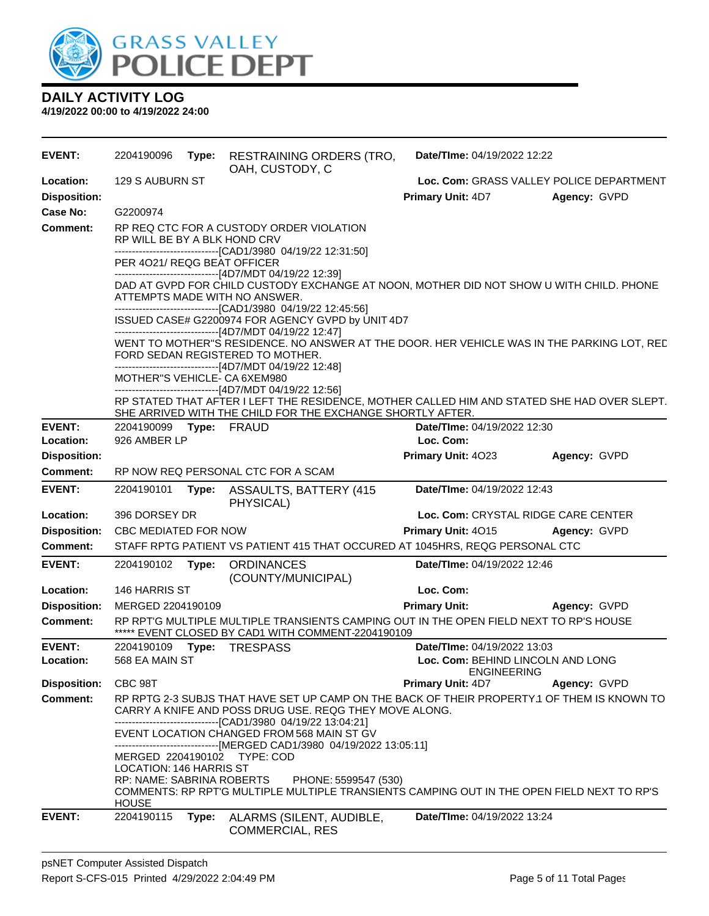

| <b>EVENT:</b>                    | 2204190096                   | Type: | <b>RESTRAINING ORDERS (TRO,</b><br>OAH, CUSTODY, C                                                                                                                                                                    | Date/TIme: 04/19/2022 12:22                                          |              |
|----------------------------------|------------------------------|-------|-----------------------------------------------------------------------------------------------------------------------------------------------------------------------------------------------------------------------|----------------------------------------------------------------------|--------------|
| Location:<br><b>Disposition:</b> | 129 S AUBURN ST              |       |                                                                                                                                                                                                                       | Loc. Com: GRASS VALLEY POLICE DEPARTMENT<br><b>Primary Unit: 4D7</b> | Agency: GVPD |
| Case No:                         | G2200974                     |       |                                                                                                                                                                                                                       |                                                                      |              |
| <b>Comment:</b>                  | RP WILL BE BY A BLK HOND CRV |       | RP REQ CTC FOR A CUSTODY ORDER VIOLATION<br>--------------------------------[CAD1/3980 04/19/22 12:31:50]                                                                                                             |                                                                      |              |
|                                  | PER 4021/ REQG BEAT OFFICER  |       |                                                                                                                                                                                                                       |                                                                      |              |
|                                  |                              |       | -------------------------------[4D7/MDT 04/19/22 12:39]<br>DAD AT GVPD FOR CHILD CUSTODY EXCHANGE AT NOON, MOTHER DID NOT SHOW U WITH CHILD. PHONE<br>ATTEMPTS MADE WITH NO ANSWER.                                   |                                                                      |              |
|                                  |                              |       | --------------------------------[CAD1/3980 04/19/22 12:45:56]<br>ISSUED CASE# G2200974 FOR AGENCY GVPD by UNIT 4D7<br>------------------------------[4D7/MDT 04/19/22 12:47]                                          |                                                                      |              |
|                                  |                              |       | WENT TO MOTHER"S RESIDENCE. NO ANSWER AT THE DOOR. HER VEHICLE WAS IN THE PARKING LOT, REC<br>FORD SEDAN REGISTERED TO MOTHER.<br>------------------------------[4D7/MDT 04/19/22 12:48]                              |                                                                      |              |
|                                  | MOTHER"S VEHICLE- CA 6XEM980 |       |                                                                                                                                                                                                                       |                                                                      |              |
|                                  |                              |       | -------------------------------[4D7/MDT 04/19/22 12:56]<br>RP STATED THAT AFTER I LEFT THE RESIDENCE, MOTHER CALLED HIM AND STATED SHE HAD OVER SLEPT.<br>SHE ARRIVED WITH THE CHILD FOR THE EXCHANGE SHORTLY AFTER.  |                                                                      |              |
| <b>EVENT:</b>                    | 2204190099 Type: FRAUD       |       |                                                                                                                                                                                                                       | Date/TIme: 04/19/2022 12:30                                          |              |
| Location:                        | 926 AMBER LP                 |       |                                                                                                                                                                                                                       | Loc. Com:                                                            |              |
| <b>Disposition:</b>              |                              |       |                                                                                                                                                                                                                       | Primary Unit: 4023                                                   | Agency: GVPD |
| Comment:                         |                              |       | RP NOW REQ PERSONAL CTC FOR A SCAM                                                                                                                                                                                    |                                                                      |              |
| <b>EVENT:</b>                    | 2204190101                   |       | Type: ASSAULTS, BATTERY (415)<br>PHYSICAL)                                                                                                                                                                            | Date/TIme: 04/19/2022 12:43                                          |              |
| Location:                        | 396 DORSEY DR                |       |                                                                                                                                                                                                                       | Loc. Com: CRYSTAL RIDGE CARE CENTER                                  |              |
| <b>Disposition:</b>              | <b>CBC MEDIATED FOR NOW</b>  |       |                                                                                                                                                                                                                       | <b>Primary Unit: 4015</b>                                            | Agency: GVPD |
| <b>Comment:</b>                  |                              |       | STAFF RPTG PATIENT VS PATIENT 415 THAT OCCURED AT 1045HRS, REQG PERSONAL CTC                                                                                                                                          |                                                                      |              |
| <b>EVENT:</b>                    | 2204190102                   | Type: | <b>ORDINANCES</b><br>(COUNTY/MUNICIPAL)                                                                                                                                                                               | Date/TIme: 04/19/2022 12:46                                          |              |
| Location:                        | 146 HARRIS ST                |       |                                                                                                                                                                                                                       | Loc. Com:                                                            |              |
| <b>Disposition:</b>              | MERGED 2204190109            |       |                                                                                                                                                                                                                       | <b>Primary Unit:</b>                                                 | Agency: GVPD |
| <b>Comment:</b>                  |                              |       | RP RPT'G MULTIPLE MULTIPLE TRANSIENTS CAMPING OUT IN THE OPEN FIELD NEXT TO RP'S HOUSE<br>***** EVENT CLOSED BY CAD1 WITH COMMENT-2204190109                                                                          |                                                                      |              |
| <b>EVENT:</b>                    |                              |       | 2204190109    Type: TRESPASS                                                                                                                                                                                          | Date/TIme: 04/19/2022 13:03                                          |              |
| Location:                        | 568 EA MAIN ST               |       |                                                                                                                                                                                                                       | Loc. Com: BEHIND LINCOLN AND LONG<br><b>ENGINEERING</b>              |              |
| <b>Disposition:</b>              | CBC 98T                      |       |                                                                                                                                                                                                                       | Primary Unit: 4D7                                                    | Agency: GVPD |
| <b>Comment:</b>                  |                              |       | RP RPTG 2-3 SUBJS THAT HAVE SET UP CAMP ON THE BACK OF THEIR PROPERTY.1 OF THEM IS KNOWN TO<br>CARRY A KNIFE AND POSS DRUG USE. REQG THEY MOVE ALONG.<br>-------------------------------[CAD1/3980 04/19/22 13:04:21] |                                                                      |              |
|                                  |                              |       | EVENT LOCATION CHANGED FROM 568 MAIN ST GV<br>-------------------------------[MERGED CAD1/3980 04/19/2022 13:05:11]                                                                                                   |                                                                      |              |
|                                  | LOCATION: 146 HARRIS ST      |       | MERGED 2204190102 TYPE: COD                                                                                                                                                                                           |                                                                      |              |
|                                  |                              |       | RP: NAME: SABRINA ROBERTS PHONE: 5599547 (530)                                                                                                                                                                        |                                                                      |              |
|                                  | <b>HOUSE</b>                 |       | COMMENTS: RP RPT'G MULTIPLE MULTIPLE TRANSIENTS CAMPING OUT IN THE OPEN FIELD NEXT TO RP'S                                                                                                                            |                                                                      |              |
| <b>EVENT:</b>                    | 2204190115                   | Type: | ALARMS (SILENT, AUDIBLE,<br><b>COMMERCIAL, RES</b>                                                                                                                                                                    | Date/TIme: 04/19/2022 13:24                                          |              |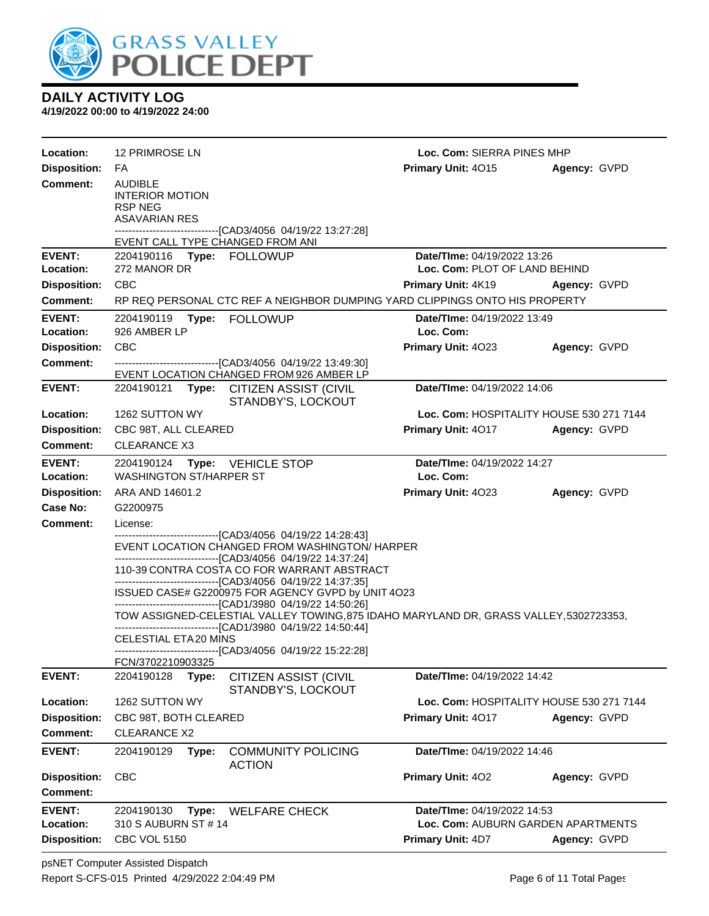

| Location:                  | <b>12 PRIMROSE LN</b>                                                                                                                                                                                                                                                                            | Loc. Com: SIERRA PINES MHP                      |              |  |  |  |
|----------------------------|--------------------------------------------------------------------------------------------------------------------------------------------------------------------------------------------------------------------------------------------------------------------------------------------------|-------------------------------------------------|--------------|--|--|--|
| <b>Disposition:</b>        | FA                                                                                                                                                                                                                                                                                               | Primary Unit: 4015                              | Agency: GVPD |  |  |  |
| <b>Comment:</b>            | <b>AUDIBLE</b><br><b>INTERIOR MOTION</b><br><b>RSP NEG</b><br><b>ASAVARIAN RES</b><br>----------------------------------[CAD3/4056 04/19/22 13:27:28]                                                                                                                                            |                                                 |              |  |  |  |
|                            | EVENT CALL TYPE CHANGED FROM ANI                                                                                                                                                                                                                                                                 |                                                 |              |  |  |  |
| <b>EVENT:</b>              | 2204190116 Type: FOLLOWUP                                                                                                                                                                                                                                                                        | Date/TIme: 04/19/2022 13:26                     |              |  |  |  |
| Location:                  | 272 MANOR DR                                                                                                                                                                                                                                                                                     | Loc. Com: PLOT OF LAND BEHIND                   |              |  |  |  |
| <b>Disposition:</b>        | <b>CBC</b>                                                                                                                                                                                                                                                                                       | <b>Primary Unit: 4K19</b>                       | Agency: GVPD |  |  |  |
| <b>Comment:</b>            | RP REQ PERSONAL CTC REF A NEIGHBOR DUMPING YARD CLIPPINGS ONTO HIS PROPERTY                                                                                                                                                                                                                      |                                                 |              |  |  |  |
| <b>EVENT:</b><br>Location: | Type: FOLLOWUP<br>2204190119<br>926 AMBER LP                                                                                                                                                                                                                                                     | <b>Date/TIme: 04/19/2022 13:49</b><br>Loc. Com: |              |  |  |  |
| <b>Disposition:</b>        | CBC                                                                                                                                                                                                                                                                                              | Primary Unit: 4023                              | Agency: GVPD |  |  |  |
| <b>Comment:</b>            | -------------------------------[CAD3/4056 04/19/22 13:49:30]<br>EVENT LOCATION CHANGED FROM 926 AMBER LP                                                                                                                                                                                         |                                                 |              |  |  |  |
| <b>EVENT:</b>              | Date/TIme: 04/19/2022 14:06<br>2204190121<br>Type: CITIZEN ASSIST (CIVIL<br>STANDBY'S, LOCKOUT                                                                                                                                                                                                   |                                                 |              |  |  |  |
| Location:                  | 1262 SUTTON WY                                                                                                                                                                                                                                                                                   | Loc. Com: HOSPITALITY HOUSE 530 271 7144        |              |  |  |  |
| <b>Disposition:</b>        | CBC 98T, ALL CLEARED                                                                                                                                                                                                                                                                             | Primary Unit: 4017                              | Agency: GVPD |  |  |  |
| <b>Comment:</b>            | CLEARANCE X3                                                                                                                                                                                                                                                                                     |                                                 |              |  |  |  |
| <b>EVENT:</b><br>Location: | 2204190124 Type: VEHICLE STOP<br><b>WASHINGTON ST/HARPER ST</b>                                                                                                                                                                                                                                  | Date/TIme: 04/19/2022 14:27<br>Loc. Com:        |              |  |  |  |
| <b>Disposition:</b>        | ARA AND 14601.2                                                                                                                                                                                                                                                                                  | Primary Unit: 4023                              | Agency: GVPD |  |  |  |
| Case No:                   | G2200975                                                                                                                                                                                                                                                                                         |                                                 |              |  |  |  |
| Comment:                   | License:                                                                                                                                                                                                                                                                                         |                                                 |              |  |  |  |
|                            | ----------------------------------[CAD3/4056 04/19/22 14:28:43]<br>EVENT LOCATION CHANGED FROM WASHINGTON/ HARPER<br>-------------------------------[CAD3/4056 04/19/22 14:37:24]<br>110-39 CONTRA COSTA CO FOR WARRANT ABSTRACT<br>-------------------------------[CAD3/4056 04/19/22 14:37:35] |                                                 |              |  |  |  |
|                            |                                                                                                                                                                                                                                                                                                  |                                                 |              |  |  |  |
|                            | ISSUED CASE# G2200975 FOR AGENCY GVPD by UNIT 4O23<br>-------------------------------[CAD1/3980 04/19/22 14:50:26]<br>TOW ASSIGNED-CELESTIAL VALLEY TOWING, 875 IDAHO MARYLAND DR, GRASS VALLEY, 5302723353,<br>--------------------------------[CAD1/3980 04/19/22 14:50:44]                    |                                                 |              |  |  |  |
|                            |                                                                                                                                                                                                                                                                                                  |                                                 |              |  |  |  |
|                            | <b>CELESTIAL ETA20 MINS</b><br>------------------------------[CAD3/4056 04/19/22 15:22:28]                                                                                                                                                                                                       |                                                 |              |  |  |  |
|                            | FCN/3702210903325                                                                                                                                                                                                                                                                                |                                                 |              |  |  |  |
| <b>EVENT:</b>              | 2204190128<br><b>CITIZEN ASSIST (CIVIL</b><br>Type:<br>STANDBY'S, LOCKOUT                                                                                                                                                                                                                        | Date/TIme: 04/19/2022 14:42                     |              |  |  |  |
| Location:                  | 1262 SUTTON WY                                                                                                                                                                                                                                                                                   | Loc. Com: HOSPITALITY HOUSE 530 271 7144        |              |  |  |  |
| <b>Disposition:</b>        | CBC 98T, BOTH CLEARED                                                                                                                                                                                                                                                                            | Primary Unit: 4017                              | Agency: GVPD |  |  |  |
| Comment:                   | <b>CLEARANCE X2</b>                                                                                                                                                                                                                                                                              |                                                 |              |  |  |  |
| <b>EVENT:</b>              | 2204190129<br>Type:<br><b>COMMUNITY POLICING</b><br><b>ACTION</b>                                                                                                                                                                                                                                | Date/TIme: 04/19/2022 14:46                     |              |  |  |  |
| <b>Disposition:</b>        | <b>CBC</b>                                                                                                                                                                                                                                                                                       | Primary Unit: 402                               | Agency: GVPD |  |  |  |
| <b>Comment:</b>            |                                                                                                                                                                                                                                                                                                  |                                                 |              |  |  |  |
| <b>EVENT:</b>              | 2204190130<br>Type:<br><b>WELFARE CHECK</b>                                                                                                                                                                                                                                                      | Date/TIme: 04/19/2022 14:53                     |              |  |  |  |
| Location:                  | 310 S AUBURN ST # 14                                                                                                                                                                                                                                                                             | Loc. Com: AUBURN GARDEN APARTMENTS              |              |  |  |  |
| <b>Disposition:</b>        | <b>CBC VOL 5150</b>                                                                                                                                                                                                                                                                              | Primary Unit: 4D7                               | Agency: GVPD |  |  |  |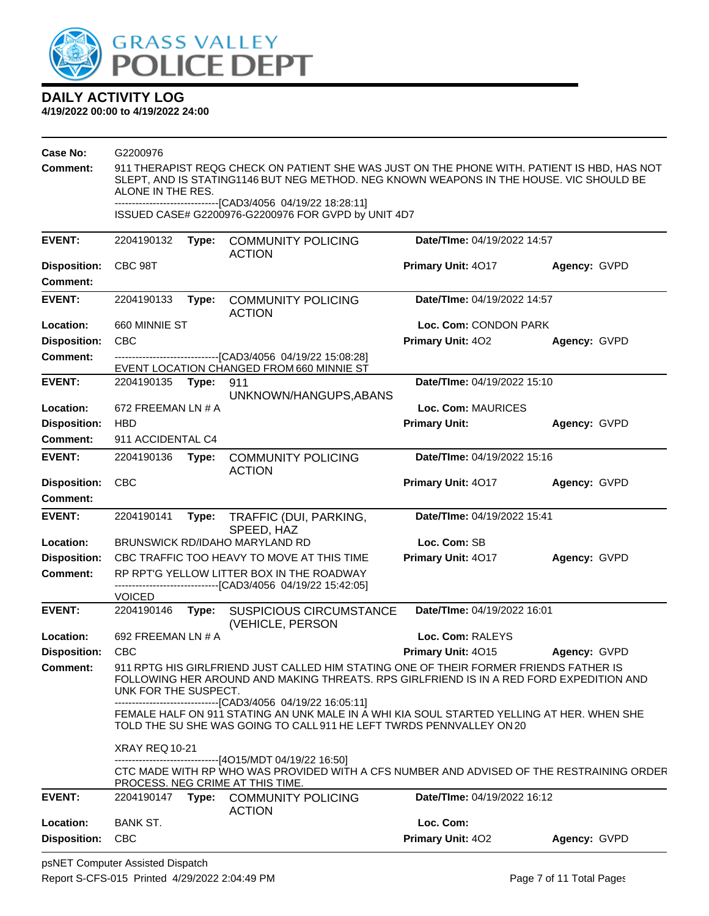

| Case No:                               | G2200976                                                                                                                                                                                                    |                                                                                                                                                                                                                            |                                                                                                                              |                             |              |  |  |  |
|----------------------------------------|-------------------------------------------------------------------------------------------------------------------------------------------------------------------------------------------------------------|----------------------------------------------------------------------------------------------------------------------------------------------------------------------------------------------------------------------------|------------------------------------------------------------------------------------------------------------------------------|-----------------------------|--------------|--|--|--|
| Comment:                               | 911 THERAPIST REQG CHECK ON PATIENT SHE WAS JUST ON THE PHONE WITH. PATIENT IS HBD, HAS NOT<br>SLEPT, AND IS STATING1146 BUT NEG METHOD. NEG KNOWN WEAPONS IN THE HOUSE. VIC SHOULD BE<br>ALONE IN THE RES. |                                                                                                                                                                                                                            |                                                                                                                              |                             |              |  |  |  |
|                                        |                                                                                                                                                                                                             |                                                                                                                                                                                                                            | ------------------------------[CAD3/4056 04/19/22 18:28:11]<br>ISSUED CASE# G2200976-G2200976 FOR GVPD by UNIT 4D7           |                             |              |  |  |  |
| <b>EVENT:</b>                          | 2204190132                                                                                                                                                                                                  | Type:                                                                                                                                                                                                                      | <b>COMMUNITY POLICING</b><br><b>ACTION</b>                                                                                   | Date/TIme: 04/19/2022 14:57 |              |  |  |  |
| <b>Disposition:</b><br><b>Comment:</b> | CBC 98T                                                                                                                                                                                                     |                                                                                                                                                                                                                            |                                                                                                                              | Primary Unit: 4017          | Agency: GVPD |  |  |  |
| <b>EVENT:</b>                          | 2204190133                                                                                                                                                                                                  | Type:                                                                                                                                                                                                                      | <b>COMMUNITY POLICING</b><br><b>ACTION</b>                                                                                   | Date/TIme: 04/19/2022 14:57 |              |  |  |  |
| Location:                              | 660 MINNIE ST                                                                                                                                                                                               |                                                                                                                                                                                                                            |                                                                                                                              | Loc. Com: CONDON PARK       |              |  |  |  |
| <b>Disposition:</b>                    | <b>CBC</b>                                                                                                                                                                                                  |                                                                                                                                                                                                                            |                                                                                                                              | Primary Unit: 402           | Agency: GVPD |  |  |  |
| Comment:                               |                                                                                                                                                                                                             |                                                                                                                                                                                                                            | --------------------------------[CAD3/4056 04/19/22 15:08:28]                                                                |                             |              |  |  |  |
|                                        |                                                                                                                                                                                                             |                                                                                                                                                                                                                            | EVENT LOCATION CHANGED FROM 660 MINNIE ST                                                                                    |                             |              |  |  |  |
| <b>EVENT:</b>                          | 2204190135 Type:                                                                                                                                                                                            |                                                                                                                                                                                                                            | 911<br>UNKNOWN/HANGUPS, ABANS                                                                                                | Date/TIme: 04/19/2022 15:10 |              |  |  |  |
| Location:                              | 672 FREEMAN LN # A                                                                                                                                                                                          |                                                                                                                                                                                                                            |                                                                                                                              | Loc. Com: MAURICES          |              |  |  |  |
| <b>Disposition:</b>                    | <b>HBD</b>                                                                                                                                                                                                  |                                                                                                                                                                                                                            |                                                                                                                              | <b>Primary Unit:</b>        | Agency: GVPD |  |  |  |
| Comment:                               | 911 ACCIDENTAL C4                                                                                                                                                                                           |                                                                                                                                                                                                                            |                                                                                                                              |                             |              |  |  |  |
| <b>EVENT:</b>                          | 2204190136                                                                                                                                                                                                  | Type:                                                                                                                                                                                                                      | <b>COMMUNITY POLICING</b><br><b>ACTION</b>                                                                                   | Date/TIme: 04/19/2022 15:16 |              |  |  |  |
| <b>Disposition:</b><br><b>Comment:</b> | <b>CBC</b>                                                                                                                                                                                                  |                                                                                                                                                                                                                            |                                                                                                                              | Primary Unit: 4017          | Agency: GVPD |  |  |  |
| <b>EVENT:</b>                          | 2204190141                                                                                                                                                                                                  | Type:                                                                                                                                                                                                                      | TRAFFIC (DUI, PARKING,                                                                                                       | Date/TIme: 04/19/2022 15:41 |              |  |  |  |
|                                        |                                                                                                                                                                                                             |                                                                                                                                                                                                                            | SPEED, HAZ                                                                                                                   |                             |              |  |  |  |
| Location:                              |                                                                                                                                                                                                             |                                                                                                                                                                                                                            | BRUNSWICK RD/IDAHO MARYLAND RD                                                                                               | Loc. Com: SB                |              |  |  |  |
| <b>Disposition:</b>                    |                                                                                                                                                                                                             |                                                                                                                                                                                                                            | CBC TRAFFIC TOO HEAVY TO MOVE AT THIS TIME                                                                                   | Primary Unit: 4017          | Agency: GVPD |  |  |  |
| <b>Comment:</b>                        |                                                                                                                                                                                                             |                                                                                                                                                                                                                            | RP RPT'G YELLOW LITTER BOX IN THE ROADWAY                                                                                    |                             |              |  |  |  |
|                                        | <b>VOICED</b>                                                                                                                                                                                               |                                                                                                                                                                                                                            | ------------------------------[CAD3/4056_04/19/22 15:42:05]                                                                  |                             |              |  |  |  |
| <b>EVENT:</b>                          | 2204190146                                                                                                                                                                                                  | Type:                                                                                                                                                                                                                      | <b>SUSPICIOUS CIRCUMSTANCE</b><br>(VEHICLE, PERSON                                                                           | Date/TIme: 04/19/2022 16:01 |              |  |  |  |
| Location:                              | 692 FREEMAN LN # A                                                                                                                                                                                          |                                                                                                                                                                                                                            |                                                                                                                              | Loc. Com: RALEYS            |              |  |  |  |
| <b>Disposition:</b>                    | <b>CBC</b>                                                                                                                                                                                                  |                                                                                                                                                                                                                            |                                                                                                                              | Primary Unit: 4015          | Agency: GVPD |  |  |  |
| <b>Comment:</b>                        | 911 RPTG HIS GIRLFRIEND JUST CALLED HIM STATING ONE OF THEIR FORMER FRIENDS FATHER IS<br>FOLLOWING HER AROUND AND MAKING THREATS. RPS GIRLFRIEND IS IN A RED FORD EXPEDITION AND<br>UNK FOR THE SUSPECT.    |                                                                                                                                                                                                                            |                                                                                                                              |                             |              |  |  |  |
|                                        |                                                                                                                                                                                                             | ------------------------[CAD3/4056 04/19/22 16:05:11]<br>FEMALE HALF ON 911 STATING AN UNK MALE IN A WHI KIA SOUL STARTED YELLING AT HER. WHEN SHE<br>TOLD THE SU SHE WAS GOING TO CALL 911 HE LEFT TWRDS PENNVALLEY ON 20 |                                                                                                                              |                             |              |  |  |  |
|                                        | <b>XRAY REQ 10-21</b>                                                                                                                                                                                       |                                                                                                                                                                                                                            | -------------------------------[4O15/MDT 04/19/22 16:50]                                                                     |                             |              |  |  |  |
|                                        |                                                                                                                                                                                                             |                                                                                                                                                                                                                            | CTC MADE WITH RP WHO WAS PROVIDED WITH A CFS NUMBER AND ADVISED OF THE RESTRAINING ORDER<br>PROCESS. NEG CRIME AT THIS TIME. |                             |              |  |  |  |
| <b>EVENT:</b>                          | 2204190147                                                                                                                                                                                                  |                                                                                                                                                                                                                            | Type: COMMUNITY POLICING<br><b>ACTION</b>                                                                                    | Date/TIme: 04/19/2022 16:12 |              |  |  |  |
| Location:                              | <b>BANK ST.</b>                                                                                                                                                                                             |                                                                                                                                                                                                                            |                                                                                                                              | Loc. Com:                   |              |  |  |  |
| <b>Disposition:</b>                    | <b>CBC</b>                                                                                                                                                                                                  |                                                                                                                                                                                                                            |                                                                                                                              | Primary Unit: 402           | Agency: GVPD |  |  |  |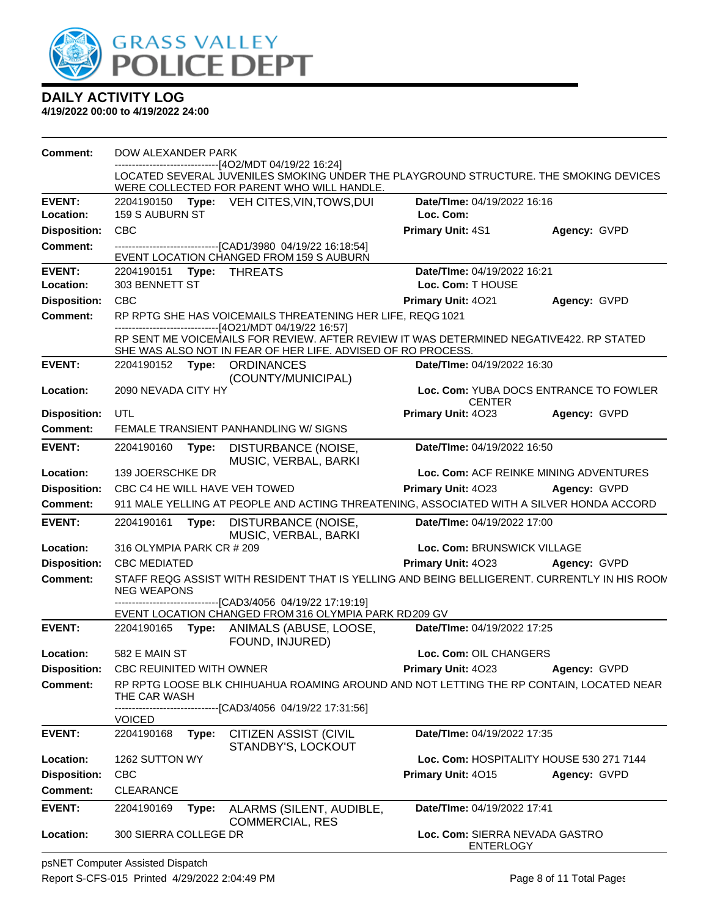

| <b>Comment:</b>     | DOW ALEXANDER PARK                                                                                                |                                                                                                                                                         |                                                    |                                        |  |
|---------------------|-------------------------------------------------------------------------------------------------------------------|---------------------------------------------------------------------------------------------------------------------------------------------------------|----------------------------------------------------|----------------------------------------|--|
|                     |                                                                                                                   | --------------------------[4O2/MDT 04/19/22 16:24]<br>LOCATED SEVERAL JUVENILES SMOKING UNDER THE PLAYGROUND STRUCTURE. THE SMOKING DEVICES             |                                                    |                                        |  |
|                     |                                                                                                                   | WERE COLLECTED FOR PARENT WHO WILL HANDLE.                                                                                                              |                                                    |                                        |  |
| <b>EVENT:</b>       |                                                                                                                   | 2204190150 Type: VEH CITES, VIN, TOWS, DUI                                                                                                              | Date/TIme: 04/19/2022 16:16                        |                                        |  |
| Location:           | <b>159 S AUBURN ST</b>                                                                                            |                                                                                                                                                         | Loc. Com:                                          |                                        |  |
| <b>Disposition:</b> | <b>CBC</b>                                                                                                        |                                                                                                                                                         | Primary Unit: 4S1                                  | Agency: GVPD                           |  |
| <b>Comment:</b>     |                                                                                                                   | --------------------------[CAD1/3980_04/19/22 16:18:54]<br>EVENT LOCATION CHANGED FROM 159 S AUBURN                                                     |                                                    |                                        |  |
| <b>EVENT:</b>       | 2204190151<br>Type:                                                                                               | <b>THREATS</b>                                                                                                                                          | Date/TIme: 04/19/2022 16:21                        |                                        |  |
| Location:           | 303 BENNETT ST                                                                                                    |                                                                                                                                                         | Loc. Com: T HOUSE                                  |                                        |  |
| <b>Disposition:</b> | <b>CBC</b>                                                                                                        |                                                                                                                                                         | Primary Unit: 4021                                 | Agency: GVPD                           |  |
| <b>Comment:</b>     | RP RPTG SHE HAS VOICEMAILS THREATENING HER LIFE, REQG 1021<br>--------------------------[4O21/MDT 04/19/22 16:57] |                                                                                                                                                         |                                                    |                                        |  |
|                     |                                                                                                                   | RP SENT ME VOICEMAILS FOR REVIEW. AFTER REVIEW IT WAS DETERMINED NEGATIVE422. RP STATED<br>SHE WAS ALSO NOT IN FEAR OF HER LIFE. ADVISED OF RO PROCESS. |                                                    |                                        |  |
| <b>EVENT:</b>       | 2204190152 Type: ORDINANCES                                                                                       | (COUNTY/MUNICIPAL)                                                                                                                                      | <b>Date/Time: 04/19/2022 16:30</b>                 |                                        |  |
| Location:           | 2090 NEVADA CITY HY                                                                                               |                                                                                                                                                         | <b>CENTER</b>                                      | Loc. Com: YUBA DOCS ENTRANCE TO FOWLER |  |
| <b>Disposition:</b> | UTL                                                                                                               |                                                                                                                                                         | Primary Unit: 4023                                 | Agency: GVPD                           |  |
| <b>Comment:</b>     |                                                                                                                   | FEMALE TRANSIENT PANHANDLING W/ SIGNS                                                                                                                   |                                                    |                                        |  |
| <b>EVENT:</b>       | 2204190160<br>Type:                                                                                               | DISTURBANCE (NOISE,<br>MUSIC, VERBAL, BARKI                                                                                                             | Date/TIme: 04/19/2022 16:50                        |                                        |  |
| Location:           | 139 JOERSCHKE DR                                                                                                  |                                                                                                                                                         |                                                    | Loc. Com: ACF REINKE MINING ADVENTURES |  |
| <b>Disposition:</b> | CBC C4 HE WILL HAVE VEH TOWED                                                                                     |                                                                                                                                                         | Primary Unit: 4023                                 | Agency: GVPD                           |  |
| Comment:            |                                                                                                                   | 911 MALE YELLING AT PEOPLE AND ACTING THREATENING, ASSOCIATED WITH A SILVER HONDA ACCORD                                                                |                                                    |                                        |  |
| <b>EVENT:</b>       | 2204190161<br>Type:                                                                                               | DISTURBANCE (NOISE,<br>MUSIC, VERBAL, BARKI                                                                                                             | Date/TIme: 04/19/2022 17:00                        |                                        |  |
| Location:           | 316 OLYMPIA PARK CR # 209                                                                                         |                                                                                                                                                         | Loc. Com: BRUNSWICK VILLAGE                        |                                        |  |
| <b>Disposition:</b> | <b>CBC MEDIATED</b>                                                                                               |                                                                                                                                                         | Primary Unit: 4023                                 | Agency: GVPD                           |  |
| <b>Comment:</b>     | <b>NEG WEAPONS</b>                                                                                                | STAFF REQG ASSIST WITH RESIDENT THAT IS YELLING AND BEING BELLIGERENT. CURRENTLY IN HIS ROON                                                            |                                                    |                                        |  |
|                     |                                                                                                                   | ------------------------[CAD3/4056 04/19/22 17:19:19]<br>EVENT LOCATION CHANGED FROM 316 OLYMPIA PARK RD209 GV                                          |                                                    |                                        |  |
| <b>EVENT:</b>       |                                                                                                                   | 2204190165 Type: ANIMALS (ABUSE, LOOSE,<br>FOUND, INJURED)                                                                                              | Date/TIme: 04/19/2022 17:25                        |                                        |  |
| <b>Location:</b>    | 582 E MAIN ST                                                                                                     |                                                                                                                                                         | Loc. Com: OIL CHANGERS                             |                                        |  |
| <b>Disposition:</b> | <b>CBC REUINITED WITH OWNER</b>                                                                                   |                                                                                                                                                         | Primary Unit: 4023                                 | Agency: GVPD                           |  |
| <b>Comment:</b>     | THE CAR WASH                                                                                                      | RP RPTG LOOSE BLK CHIHUAHUA ROAMING AROUND AND NOT LETTING THE RP CONTAIN, LOCATED NEAR                                                                 |                                                    |                                        |  |
|                     | <b>VOICED</b>                                                                                                     | --------------------[CAD3/4056_04/19/22 17:31:56]                                                                                                       |                                                    |                                        |  |
| <b>EVENT:</b>       | 2204190168<br>Type:                                                                                               | <b>CITIZEN ASSIST (CIVIL</b>                                                                                                                            | Date/TIme: 04/19/2022 17:35                        |                                        |  |
| Location:           | 1262 SUTTON WY                                                                                                    | STANDBY'S, LOCKOUT                                                                                                                                      | Loc. Com: HOSPITALITY HOUSE 530 271 7144           |                                        |  |
| <b>Disposition:</b> | <b>CBC</b>                                                                                                        |                                                                                                                                                         | Primary Unit: 4015                                 | Agency: GVPD                           |  |
| <b>Comment:</b>     | <b>CLEARANCE</b>                                                                                                  |                                                                                                                                                         |                                                    |                                        |  |
| <b>EVENT:</b>       | 2204190169                                                                                                        |                                                                                                                                                         | Date/TIme: 04/19/2022 17:41                        |                                        |  |
|                     | Type:                                                                                                             | ALARMS (SILENT, AUDIBLE,<br><b>COMMERCIAL, RES</b>                                                                                                      |                                                    |                                        |  |
| Location:           | 300 SIERRA COLLEGE DR                                                                                             |                                                                                                                                                         | Loc. Com: SIERRA NEVADA GASTRO<br><b>ENTERLOGY</b> |                                        |  |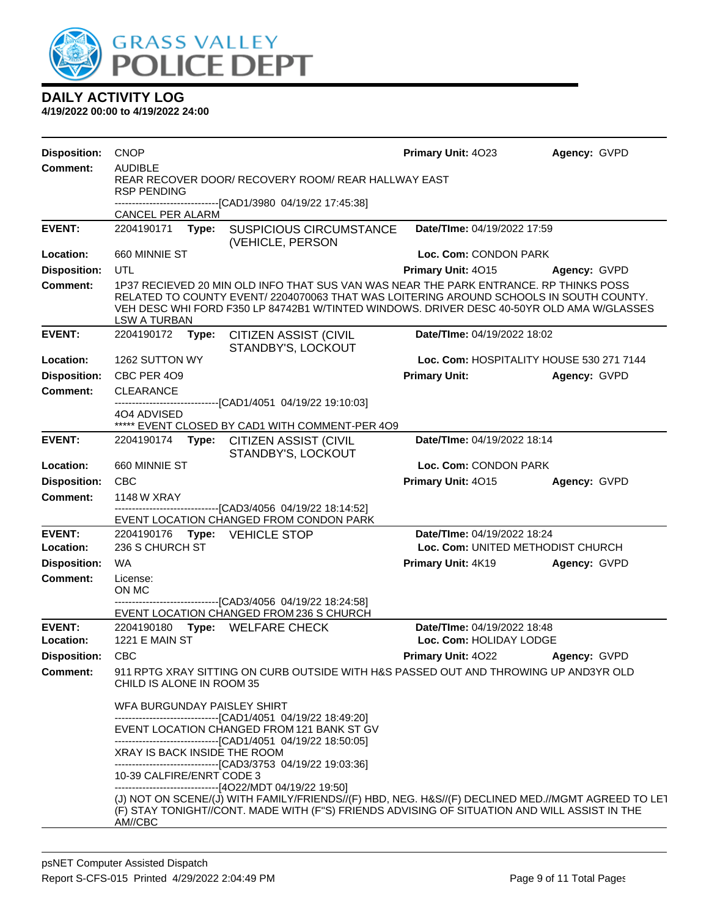

| <b>Disposition:</b>        | <b>CNOP</b>                                                                                              |                                                                                                                                                                                                                                                                             | Primary Unit: 4023                                     | Agency: GVPD |  |
|----------------------------|----------------------------------------------------------------------------------------------------------|-----------------------------------------------------------------------------------------------------------------------------------------------------------------------------------------------------------------------------------------------------------------------------|--------------------------------------------------------|--------------|--|
| <b>Comment:</b>            | <b>AUDIBLE</b>                                                                                           |                                                                                                                                                                                                                                                                             |                                                        |              |  |
|                            | <b>RSP PENDING</b>                                                                                       | REAR RECOVER DOOR/ RECOVERY ROOM/ REAR HALLWAY EAST                                                                                                                                                                                                                         |                                                        |              |  |
|                            |                                                                                                          | -------------------------------[CAD1/3980_04/19/22 17:45:38]                                                                                                                                                                                                                |                                                        |              |  |
|                            | CANCEL PER ALARM                                                                                         |                                                                                                                                                                                                                                                                             |                                                        |              |  |
| <b>EVENT:</b>              | 2204190171<br>Type:                                                                                      | <b>SUSPICIOUS CIRCUMSTANCE</b><br>(VEHICLE, PERSON                                                                                                                                                                                                                          | Date/TIme: 04/19/2022 17:59                            |              |  |
| Location:                  | 660 MINNIE ST                                                                                            |                                                                                                                                                                                                                                                                             | Loc. Com: CONDON PARK                                  |              |  |
| <b>Disposition:</b>        | UTL                                                                                                      |                                                                                                                                                                                                                                                                             | Primary Unit: 4015                                     | Agency: GVPD |  |
| <b>Comment:</b>            | <b>LSW A TURBAN</b>                                                                                      | 1P37 RECIEVED 20 MIN OLD INFO THAT SUS VAN WAS NEAR THE PARK ENTRANCE. RP THINKS POSS<br>RELATED TO COUNTY EVENT/2204070063 THAT WAS LOITERING AROUND SCHOOLS IN SOUTH COUNTY.<br>VEH DESC WHI FORD F350 LP 84742B1 W/TINTED WINDOWS. DRIVER DESC 40-50YR OLD AMA W/GLASSES |                                                        |              |  |
| <b>EVENT:</b>              | 2204190172<br>Type:                                                                                      | <b>CITIZEN ASSIST (CIVIL</b><br>STANDBY'S, LOCKOUT                                                                                                                                                                                                                          | Date/TIme: 04/19/2022 18:02                            |              |  |
| Location:                  | 1262 SUTTON WY                                                                                           |                                                                                                                                                                                                                                                                             | Loc. Com: HOSPITALITY HOUSE 530 271 7144               |              |  |
| <b>Disposition:</b>        | CBC PER 4O9                                                                                              |                                                                                                                                                                                                                                                                             | <b>Primary Unit:</b>                                   | Agency: GVPD |  |
| <b>Comment:</b>            | <b>CLEARANCE</b>                                                                                         |                                                                                                                                                                                                                                                                             |                                                        |              |  |
|                            | 404 ADVISED                                                                                              | -------------------------------[CAD1/4051 04/19/22 19:10:03]                                                                                                                                                                                                                |                                                        |              |  |
|                            |                                                                                                          | ***** EVENT CLOSED BY CAD1 WITH COMMENT-PER 4O9                                                                                                                                                                                                                             |                                                        |              |  |
| <b>EVENT:</b>              | Date/TIme: 04/19/2022 18:14<br>2204190174<br>Type:<br><b>CITIZEN ASSIST (CIVIL</b><br>STANDBY'S, LOCKOUT |                                                                                                                                                                                                                                                                             |                                                        |              |  |
| Location:                  | 660 MINNIE ST                                                                                            |                                                                                                                                                                                                                                                                             | Loc. Com: CONDON PARK                                  |              |  |
| <b>Disposition:</b>        | <b>CBC</b>                                                                                               |                                                                                                                                                                                                                                                                             | Primary Unit: 4015                                     | Agency: GVPD |  |
| <b>Comment:</b>            | 1148 W XRAY                                                                                              |                                                                                                                                                                                                                                                                             |                                                        |              |  |
|                            |                                                                                                          | ------------------------[CAD3/4056_04/19/22 18:14:52]<br>EVENT LOCATION CHANGED FROM CONDON PARK                                                                                                                                                                            |                                                        |              |  |
| <b>EVENT:</b>              | 2204190176 Type: VEHICLE STOP                                                                            |                                                                                                                                                                                                                                                                             | Date/TIme: 04/19/2022 18:24                            |              |  |
| Location:                  | 236 S CHURCH ST                                                                                          |                                                                                                                                                                                                                                                                             | Loc. Com: UNITED METHODIST CHURCH                      |              |  |
| <b>Disposition:</b>        | <b>WA</b>                                                                                                |                                                                                                                                                                                                                                                                             | Primary Unit: 4K19                                     | Agency: GVPD |  |
| <b>Comment:</b>            | License:<br>ON MC                                                                                        |                                                                                                                                                                                                                                                                             |                                                        |              |  |
|                            |                                                                                                          | -------------------------------[CAD3/4056_04/19/22 18:24:58]<br>EVENT LOCATION CHANGED FROM 236 S CHURCH                                                                                                                                                                    |                                                        |              |  |
| <b>EVENT:</b><br>Location: | <b>1221 E MAIN ST</b>                                                                                    | 2204190180 Type: WELFARE CHECK                                                                                                                                                                                                                                              | Date/TIme: 04/19/2022 18:48<br>Loc. Com: HOLIDAY LODGE |              |  |
| <b>Disposition:</b>        | <b>CBC</b>                                                                                               |                                                                                                                                                                                                                                                                             | Primary Unit: 4022                                     | Agency: GVPD |  |
| Comment:                   | CHILD IS ALONE IN ROOM 35                                                                                | 911 RPTG XRAY SITTING ON CURB OUTSIDE WITH H&S PASSED OUT AND THROWING UP AND3YR OLD                                                                                                                                                                                        |                                                        |              |  |
|                            | WFA BURGUNDAY PAISLEY SHIRT                                                                              |                                                                                                                                                                                                                                                                             |                                                        |              |  |
|                            |                                                                                                          | -------------------------------[CAD1/4051 04/19/22 18:49:20]<br>EVENT LOCATION CHANGED FROM 121 BANK ST GV                                                                                                                                                                  |                                                        |              |  |
|                            | XRAY IS BACK INSIDE THE ROOM                                                                             | ------------------------------------[CAD1/4051 04/19/22 18:50:05]                                                                                                                                                                                                           |                                                        |              |  |
|                            | 10-39 CALFIRE/ENRT CODE 3                                                                                | --------------------------------[CAD3/3753 04/19/22 19:03:36]                                                                                                                                                                                                               |                                                        |              |  |
|                            | AM//CBC                                                                                                  | --------------------------------[4O22/MDT 04/19/22 19:50]<br>(J) NOT ON SCENE/(J) WITH FAMILY/FRIENDS//(F) HBD, NEG. H&S//(F) DECLINED MED.//MGMT AGREED TO LET<br>(F) STAY TONIGHT//CONT. MADE WITH (F"S) FRIENDS ADVISING OF SITUATION AND WILL ASSIST IN THE             |                                                        |              |  |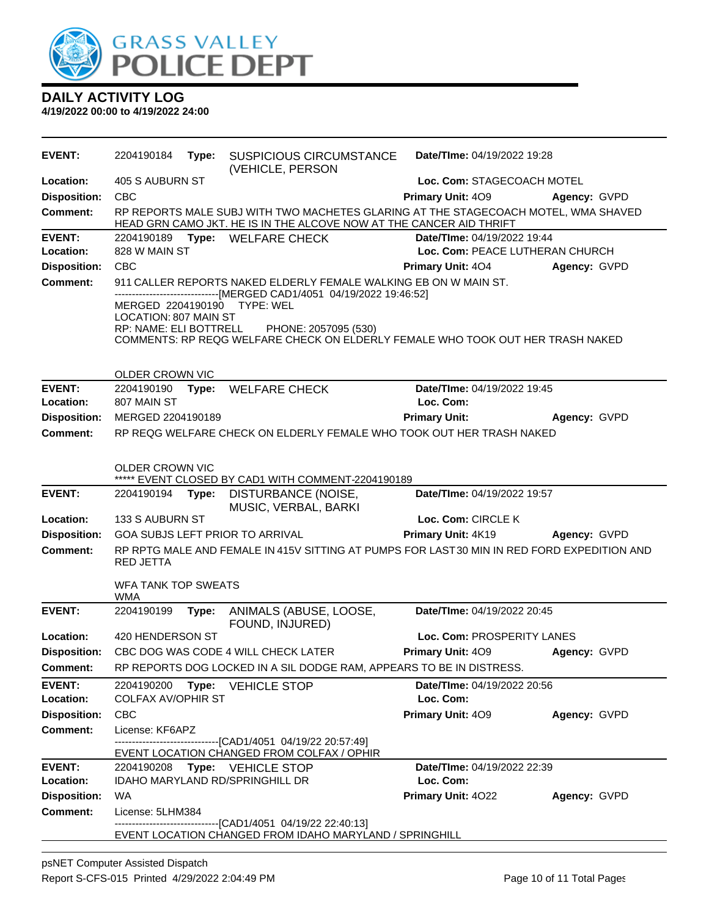

| <b>EVENT:</b>       | 2204190184                        | Type: | <b>SUSPICIOUS CIRCUMSTANCE</b>                                                                                                                            | Date/TIme: 04/19/2022 19:28     |              |  |
|---------------------|-----------------------------------|-------|-----------------------------------------------------------------------------------------------------------------------------------------------------------|---------------------------------|--------------|--|
| Location:           | 405 S AUBURN ST                   |       | (VEHICLE, PERSON                                                                                                                                          | Loc. Com: STAGECOACH MOTEL      |              |  |
| <b>Disposition:</b> | <b>CBC</b>                        |       |                                                                                                                                                           | <b>Primary Unit: 409</b>        | Agency: GVPD |  |
| <b>Comment:</b>     |                                   |       | RP REPORTS MALE SUBJ WITH TWO MACHETES GLARING AT THE STAGECOACH MOTEL, WMA SHAVED<br>HEAD GRN CAMO JKT. HE IS IN THE ALCOVE NOW AT THE CANCER AID THRIFT |                                 |              |  |
| <b>EVENT:</b>       |                                   |       | 2204190189 Type: WELFARE CHECK                                                                                                                            | Date/TIme: 04/19/2022 19:44     |              |  |
| Location:           | 828 W MAIN ST                     |       |                                                                                                                                                           | Loc. Com: PEACE LUTHERAN CHURCH |              |  |
| <b>Disposition:</b> | CBC                               |       |                                                                                                                                                           | <b>Primary Unit: 404</b>        | Agency: GVPD |  |
| <b>Comment:</b>     |                                   |       | 911 CALLER REPORTS NAKED ELDERLY FEMALE WALKING EB ON W MAIN ST.<br>---[MERGED CAD1/4051 04/19/2022 19:46:52]                                             |                                 |              |  |
|                     | <b>LOCATION: 807 MAIN ST</b>      |       | MERGED 2204190190 TYPE: WEL                                                                                                                               |                                 |              |  |
|                     |                                   |       | RP: NAME: ELI BOTTRELL PHONE: 2057095 (530)<br>COMMENTS: RP REQG WELFARE CHECK ON ELDERLY FEMALE WHO TOOK OUT HER TRASH NAKED                             |                                 |              |  |
|                     | OLDER CROWN VIC                   |       |                                                                                                                                                           |                                 |              |  |
| <b>EVENT:</b>       |                                   |       | 2204190190 Type: WELFARE CHECK                                                                                                                            | Date/TIme: 04/19/2022 19:45     |              |  |
| Location:           | 807 MAIN ST                       |       |                                                                                                                                                           | Loc. Com:                       |              |  |
| <b>Disposition:</b> | MERGED 2204190189                 |       |                                                                                                                                                           | <b>Primary Unit:</b>            | Agency: GVPD |  |
| <b>Comment:</b>     |                                   |       | RP REQG WELFARE CHECK ON ELDERLY FEMALE WHO TOOK OUT HER TRASH NAKED                                                                                      |                                 |              |  |
|                     | OLDER CROWN VIC                   |       |                                                                                                                                                           |                                 |              |  |
| <b>EVENT:</b>       | 2204190194 Type:                  |       | ***** EVENT CLOSED BY CAD1 WITH COMMENT-2204190189                                                                                                        | Date/TIme: 04/19/2022 19:57     |              |  |
|                     |                                   |       | DISTURBANCE (NOISE,<br>MUSIC, VERBAL, BARKI                                                                                                               |                                 |              |  |
| Location:           | 133 S AUBURN ST                   |       |                                                                                                                                                           | Loc. Com: CIRCLE K              |              |  |
| <b>Disposition:</b> |                                   |       | GOA SUBJS LEFT PRIOR TO ARRIVAL                                                                                                                           | <b>Primary Unit: 4K19</b>       | Agency: GVPD |  |
| <b>Comment:</b>     | <b>RED JETTA</b>                  |       | RP RPTG MALE AND FEMALE IN 415V SITTING AT PUMPS FOR LAST 30 MIN IN RED FORD EXPEDITION AND                                                               |                                 |              |  |
|                     | WFA TANK TOP SWEATS<br><b>WMA</b> |       |                                                                                                                                                           |                                 |              |  |
| <b>EVENT:</b>       | 2204190199                        | Type: | ANIMALS (ABUSE, LOOSE,<br>FOUND, INJURED)                                                                                                                 | Date/TIme: 04/19/2022 20:45     |              |  |
| Location:           | 420 HENDERSON ST                  |       |                                                                                                                                                           | Loc. Com: PROSPERITY LANES      |              |  |
| <b>Disposition:</b> |                                   |       | CBC DOG WAS CODE 4 WILL CHECK LATER                                                                                                                       | <b>Primary Unit: 409</b>        | Agency: GVPD |  |
| <b>Comment:</b>     |                                   |       | RP REPORTS DOG LOCKED IN A SIL DODGE RAM, APPEARS TO BE IN DISTRESS.                                                                                      |                                 |              |  |
| <b>EVENT:</b>       | 2204190200                        |       | Type: VEHICLE STOP                                                                                                                                        | Date/TIme: 04/19/2022 20:56     |              |  |
| Location:           | <b>COLFAX AV/OPHIR ST</b>         |       |                                                                                                                                                           | Loc. Com:                       |              |  |
| <b>Disposition:</b> | <b>CBC</b>                        |       |                                                                                                                                                           | Primary Unit: 409               | Agency: GVPD |  |
| <b>Comment:</b>     | License: KF6APZ                   |       | ---------------------[CAD1/4051_04/19/22 20:57:49]                                                                                                        |                                 |              |  |
|                     |                                   |       | EVENT LOCATION CHANGED FROM COLFAX / OPHIR                                                                                                                |                                 |              |  |
| <b>EVENT:</b>       |                                   |       | 2204190208 Type: VEHICLE STOP                                                                                                                             | Date/TIme: 04/19/2022 22:39     |              |  |
| Location:           |                                   |       | <b>IDAHO MARYLAND RD/SPRINGHILL DR</b>                                                                                                                    | Loc. Com:                       |              |  |
| <b>Disposition:</b> | <b>WA</b>                         |       |                                                                                                                                                           | <b>Primary Unit: 4022</b>       | Agency: GVPD |  |
| <b>Comment:</b>     | License: 5LHM384                  |       | ----------------------------[CAD1/4051_04/19/22 22:40:13]                                                                                                 |                                 |              |  |
|                     |                                   |       | EVENT LOCATION CHANGED FROM IDAHO MARYLAND / SPRINGHILL                                                                                                   |                                 |              |  |